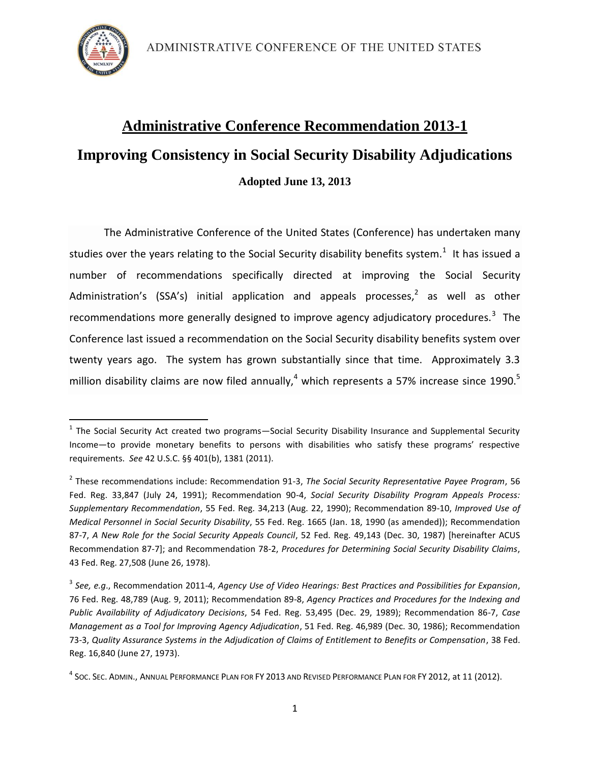

 $\overline{a}$ 

# **Administrative Conference Recommendation 2013-1 Improving Consistency in Social Security Disability Adjudications Adopted June 13, 2013**

The Administrative Conference of the United States (Conference) has undertaken many studies over the years relating to the Social Security disability benefits system.<sup>1</sup> It has issued a number of recommendations specifically directed at improving the Social Security Administration's (SSA's) initial application and appeals processes,<sup>2</sup> as well as other recommendations more generally designed to improve agency adjudicatory procedures.<sup>3</sup> The Conference last issued a recommendation on the Social Security disability benefits system over twenty years ago. The system has grown substantially since that time. Approximately 3.3 million disability claims are now filed annually,<sup>4</sup> which represents a 57% increase since 1990.<sup>5</sup>

<sup>&</sup>lt;sup>1</sup> The Social Security Act created two programs—Social Security Disability Insurance and Supplemental Security Income—to provide monetary benefits to persons with disabilities who satisfy these programs' respective requirements. *See* 42 U.S.C. §§ 401(b), 1381 (2011).

<sup>2</sup> These recommendations include: Recommendation 91-3, *The Social Security Representative Payee Program*, 56 Fed. Reg. 33,847 (July 24, 1991); Recommendation 90-4, *Social Security Disability Program Appeals Process: Supplementary Recommendation*, 55 Fed. Reg. 34,213 (Aug. 22, 1990); Recommendation 89-10, *Improved Use of Medical Personnel in Social Security Disability*, 55 Fed. Reg. 1665 (Jan. 18, 1990 (as amended)); Recommendation 87-7, *A New Role for the Social Security Appeals Council*, 52 Fed. Reg. 49,143 (Dec. 30, 1987) [hereinafter ACUS Recommendation 87-7]; and Recommendation 78-2, *Procedures for Determining Social Security Disability Claims*, 43 Fed. Reg. 27,508 (June 26, 1978).

<sup>3</sup> *See, e.g*., Recommendation 2011-4, *Agency Use of Video Hearings: Best Practices and Possibilities for Expansion*, 76 Fed. Reg. 48,789 (Aug. 9, 2011); Recommendation 89-8, *Agency Practices and Procedures for the Indexing and Public Availability of Adjudicatory Decisions*, 54 Fed. Reg. 53,495 (Dec. 29, 1989); Recommendation 86-7, *Case Management as a Tool for Improving Agency Adjudication*, 51 Fed. Reg. 46,989 (Dec. 30, 1986); Recommendation 73-3, *Quality Assurance Systems in the Adjudication of Claims of Entitlement to Benefits or Compensation*, 38 Fed. Reg. 16,840 (June 27, 1973).

 $^4$  Soc. Sec. Admin., Annual Performance Plan for FY 2013 and Revised Performance Plan for FY 2012, at 11 (2012).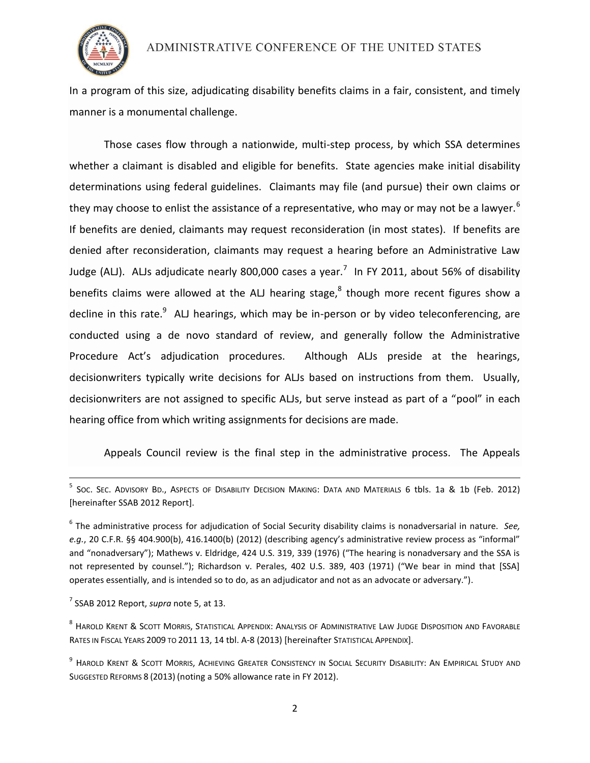

In a program of this size, adjudicating disability benefits claims in a fair, consistent, and timely manner is a monumental challenge.

Those cases flow through a nationwide, multi-step process, by which SSA determines whether a claimant is disabled and eligible for benefits. State agencies make initial disability determinations using federal guidelines. Claimants may file (and pursue) their own claims or they may choose to enlist the assistance of a representative, who may or may not be a lawyer.<sup>6</sup> If benefits are denied, claimants may request reconsideration (in most states). If benefits are denied after reconsideration, claimants may request a hearing before an Administrative Law Judge (ALJ). ALJs adjudicate nearly 800,000 cases a year.<sup>7</sup> In FY 2011, about 56% of disability benefits claims were allowed at the ALJ hearing stage, $^8$  though more recent figures show a decline in this rate.<sup>9</sup> ALJ hearings, which may be in-person or by video teleconferencing, are conducted using a de novo standard of review, and generally follow the Administrative Procedure Act's adjudication procedures. Although ALJs preside at the hearings, decisionwriters typically write decisions for ALJs based on instructions from them. Usually, decisionwriters are not assigned to specific ALJs, but serve instead as part of a "pool" in each hearing office from which writing assignments for decisions are made.

Appeals Council review is the final step in the administrative process. The Appeals

7 SSAB 2012 Report, *supra* note 5, at 13.

 $\overline{a}$ 

 $^{\rm 8}$  Harold Krent & Scott Morris, Statistical Appendix: Analysis of Administrative Law Judge Disposition and Favorable RATES IN FISCAL YEARS 2009 TO 2011 13, 14 tbl. A-8 (2013) [hereinafter STATISTICAL APPENDIX].

<sup>&</sup>lt;sup>5</sup> Soc. Sec. Advisory Bd., Aspects of Disability Decision Making: Data and Materials 6 tbls. 1a & 1b (Feb. 2012) [hereinafter SSAB 2012 Report].

<sup>6</sup> The administrative process for adjudication of Social Security disability claims is nonadversarial in nature. *See, e.g.*, 20 C.F.R. §§ 404.900(b), 416.1400(b) (2012) (describing agency's administrative review process as "informal" and "nonadversary"); Mathews v. Eldridge, 424 U.S. 319, 339 (1976) ("The hearing is nonadversary and the SSA is not represented by counsel."); Richardson v. Perales, 402 U.S. 389, 403 (1971) ("We bear in mind that [SSA] operates essentially, and is intended so to do, as an adjudicator and not as an advocate or adversary.").

<sup>&</sup>lt;sup>9</sup> Harold Krent & Scott Morris, Achieving Greater Consistency in Social Security Disability: An Empirical Study and SUGGESTED REFORMS 8 (2013) (noting a 50% allowance rate in FY 2012).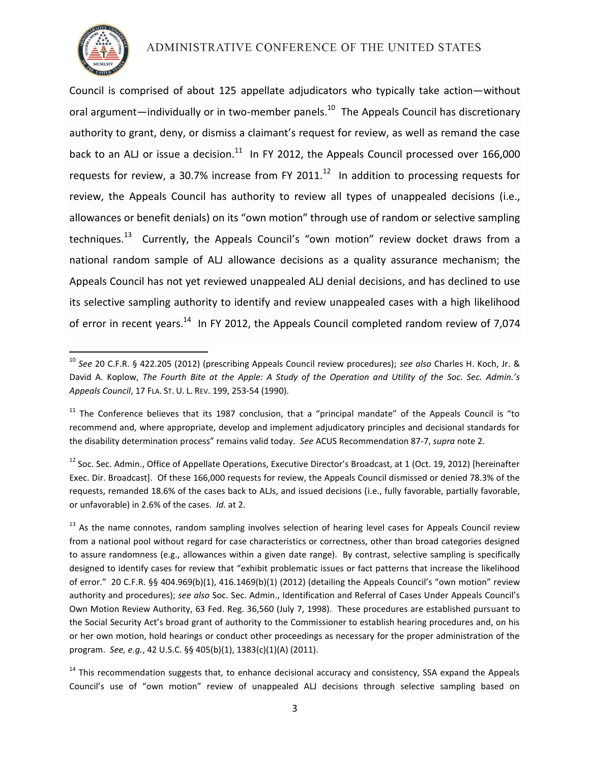

 $\overline{a}$ 

# ADMINISTRATIVE CONFERENCE OF THE UNITED STATES

Council is comprised of about 125 appellate adjudicators who typically take action—without oral argument—individually or in two-member panels.<sup>10</sup> The Appeals Council has discretionary authority to grant, deny, or dismiss a claimant's request for review, as well as remand the case back to an ALJ or issue a decision. $^{11}$  In FY 2012, the Appeals Council processed over 166,000 requests for review, a 30.7% increase from FY 2011. $^{12}$  In addition to processing requests for review, the Appeals Council has authority to review all types of unappealed decisions (i.e., allowances or benefit denials) on its "own motion" through use of random or selective sampling techniques.<sup>13</sup> Currently, the Appeals Council's "own motion" review docket draws from a national random sample of ALJ allowance decisions as a quality assurance mechanism; the Appeals Council has not yet reviewed unappealed ALJ denial decisions, and has declined to use its selective sampling authority to identify and review unappealed cases with a high likelihood of error in recent years.<sup>14</sup> In FY 2012, the Appeals Council completed random review of 7,074

<sup>10</sup> *See* 20 C.F.R. § 422.205 (2012) (prescribing Appeals Council review procedures); *see also* Charles H. Koch, Jr. & David A. Koplow, *The Fourth Bite at the Apple: A Study of the Operation and Utility of the Soc. Sec. Admin.'s Appeals Council*, 17 FLA. ST. U. L. REV. 199, 253-54 (1990).

 $11$  The Conference believes that its 1987 conclusion, that a "principal mandate" of the Appeals Council is "to recommend and, where appropriate, develop and implement adjudicatory principles and decisional standards for the disability determination process" remains valid today. *See* ACUS Recommendation 87-7, *supra* note 2.

 $12$  Soc. Sec. Admin., Office of Appellate Operations, Executive Director's Broadcast, at 1 (Oct. 19, 2012) [hereinafter Exec. Dir. Broadcast]. Of these 166,000 requests for review, the Appeals Council dismissed or denied 78.3% of the requests, remanded 18.6% of the cases back to ALJs, and issued decisions (i.e., fully favorable, partially favorable, or unfavorable) in 2.6% of the cases. *Id.* at 2.

<sup>&</sup>lt;sup>13</sup> As the name connotes, random sampling involves selection of hearing level cases for Appeals Council review from a national pool without regard for case characteristics or correctness, other than broad categories designed to assure randomness (e.g., allowances within a given date range). By contrast, selective sampling is specifically designed to identify cases for review that "exhibit problematic issues or fact patterns that increase the likelihood of error." 20 C.F.R. §§ 404.969(b)(1), 416.1469(b)(1) (2012) (detailing the Appeals Council's "own motion" review authority and procedures); *see also* Soc. Sec. Admin., Identification and Referral of Cases Under Appeals Council's Own Motion Review Authority, 63 Fed. Reg. 36,560 (July 7, 1998). These procedures are established pursuant to the Social Security Act's broad grant of authority to the Commissioner to establish hearing procedures and, on his or her own motion, hold hearings or conduct other proceedings as necessary for the proper administration of the program. *See, e.g.*, 42 U.S.C. §§ 405(b)(1), 1383(c)(1)(A) (2011).

 $14$  This recommendation suggests that, to enhance decisional accuracy and consistency, SSA expand the Appeals Council's use of "own motion" review of unappealed ALJ decisions through selective sampling based on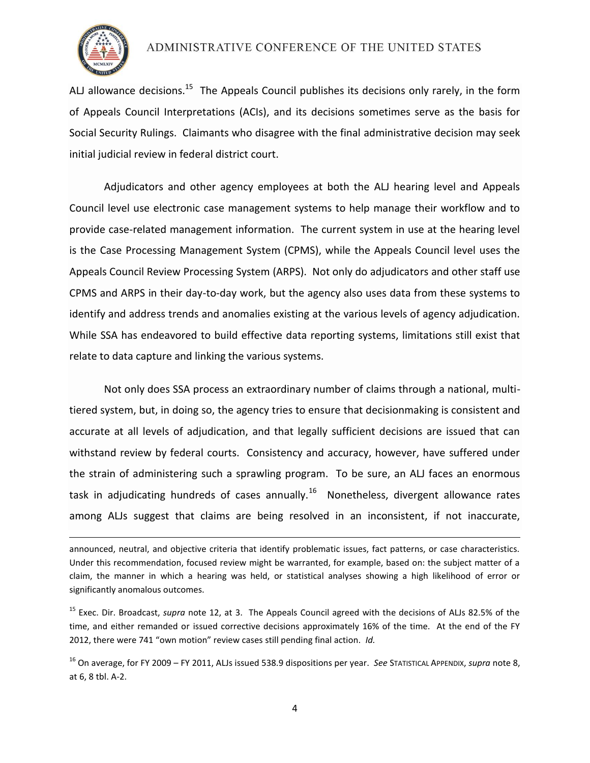

 $\overline{a}$ 

## ADMINISTRATIVE CONFERENCE OF THE UNITED STATES

ALJ allowance decisions.<sup>15</sup> The Appeals Council publishes its decisions only rarely, in the form of Appeals Council Interpretations (ACIs), and its decisions sometimes serve as the basis for Social Security Rulings. Claimants who disagree with the final administrative decision may seek initial judicial review in federal district court.

Adjudicators and other agency employees at both the ALJ hearing level and Appeals Council level use electronic case management systems to help manage their workflow and to provide case-related management information. The current system in use at the hearing level is the Case Processing Management System (CPMS), while the Appeals Council level uses the Appeals Council Review Processing System (ARPS). Not only do adjudicators and other staff use CPMS and ARPS in their day-to-day work, but the agency also uses data from these systems to identify and address trends and anomalies existing at the various levels of agency adjudication. While SSA has endeavored to build effective data reporting systems, limitations still exist that relate to data capture and linking the various systems.

Not only does SSA process an extraordinary number of claims through a national, multitiered system, but, in doing so, the agency tries to ensure that decisionmaking is consistent and accurate at all levels of adjudication, and that legally sufficient decisions are issued that can withstand review by federal courts. Consistency and accuracy, however, have suffered under the strain of administering such a sprawling program. To be sure, an ALJ faces an enormous task in adjudicating hundreds of cases annually.<sup>16</sup> Nonetheless, divergent allowance rates among ALJs suggest that claims are being resolved in an inconsistent, if not inaccurate,

announced, neutral, and objective criteria that identify problematic issues, fact patterns, or case characteristics. Under this recommendation, focused review might be warranted, for example, based on: the subject matter of a claim, the manner in which a hearing was held, or statistical analyses showing a high likelihood of error or significantly anomalous outcomes.

<sup>15</sup> Exec. Dir. Broadcast, *supra* note 12, at 3. The Appeals Council agreed with the decisions of ALJs 82.5% of the time, and either remanded or issued corrective decisions approximately 16% of the time. At the end of the FY 2012, there were 741 "own motion" review cases still pending final action. *Id.*

<sup>16</sup> On average, for FY 2009 – FY 2011, ALJs issued 538.9 dispositions per year. *See* STATISTICAL APPENDIX, *supra* note 8, at 6, 8 tbl. A-2.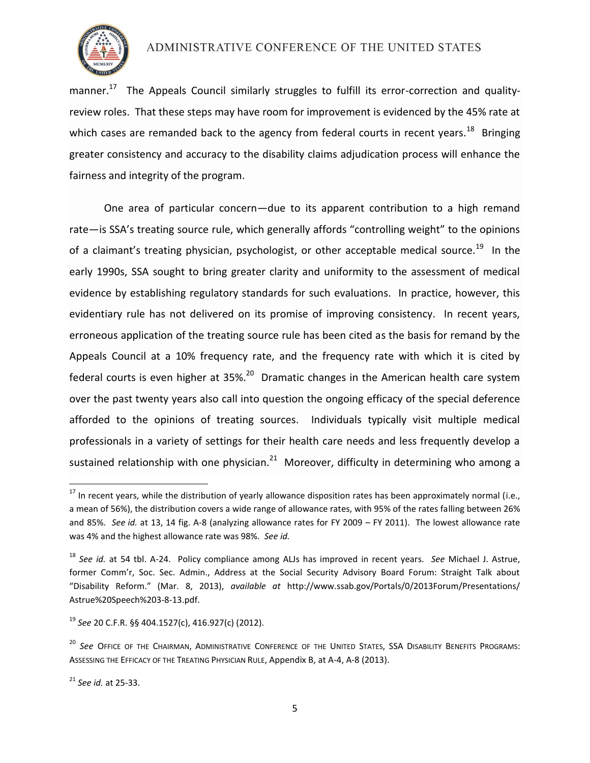

manner.<sup>17</sup> The Appeals Council similarly struggles to fulfill its error-correction and qualityreview roles. That these steps may have room for improvement is evidenced by the 45% rate at which cases are remanded back to the agency from federal courts in recent years.<sup>18</sup> Bringing greater consistency and accuracy to the disability claims adjudication process will enhance the fairness and integrity of the program.

One area of particular concern—due to its apparent contribution to a high remand rate—is SSA's treating source rule, which generally affords "controlling weight" to the opinions of a claimant's treating physician, psychologist, or other acceptable medical source.<sup>19</sup> In the early 1990s, SSA sought to bring greater clarity and uniformity to the assessment of medical evidence by establishing regulatory standards for such evaluations. In practice, however, this evidentiary rule has not delivered on its promise of improving consistency. In recent years, erroneous application of the treating source rule has been cited as the basis for remand by the Appeals Council at a 10% frequency rate, and the frequency rate with which it is cited by federal courts is even higher at 35%.<sup>20</sup> Dramatic changes in the American health care system over the past twenty years also call into question the ongoing efficacy of the special deference afforded to the opinions of treating sources. Individuals typically visit multiple medical professionals in a variety of settings for their health care needs and less frequently develop a sustained relationship with one physician.<sup>21</sup> Moreover, difficulty in determining who among a

 $\overline{a}$ 

 $^{17}$  In recent years, while the distribution of yearly allowance disposition rates has been approximately normal (i.e., a mean of 56%), the distribution covers a wide range of allowance rates, with 95% of the rates falling between 26% and 85%. *See id.* at 13, 14 fig. A-8 (analyzing allowance rates for FY 2009 – FY 2011). The lowest allowance rate was 4% and the highest allowance rate was 98%. *See id.*

<sup>18</sup> *See id.* at 54 tbl. A-24. Policy compliance among ALJs has improved in recent years. *See* Michael J. Astrue, former Comm'r, Soc. Sec. Admin., Address at the Social Security Advisory Board Forum: Straight Talk about "Disability Reform." (Mar. 8, 2013), *available at* http://www.ssab.gov/Portals/0/2013Forum/Presentations/ Astrue%20Speech%203-8-13.pdf.

<sup>19</sup> *See* 20 C.F.R. §§ 404.1527(c), 416.927(c) (2012).

<sup>&</sup>lt;sup>20</sup> See Office of the Chairman, Administrative Conference of the United States, SSA Disability Benefits Programs: ASSESSING THE EFFICACY OF THE TREATING PHYSICIAN RULE, Appendix B, at A-4, A-8 (2013).

<sup>21</sup> *See id.* at 25-33.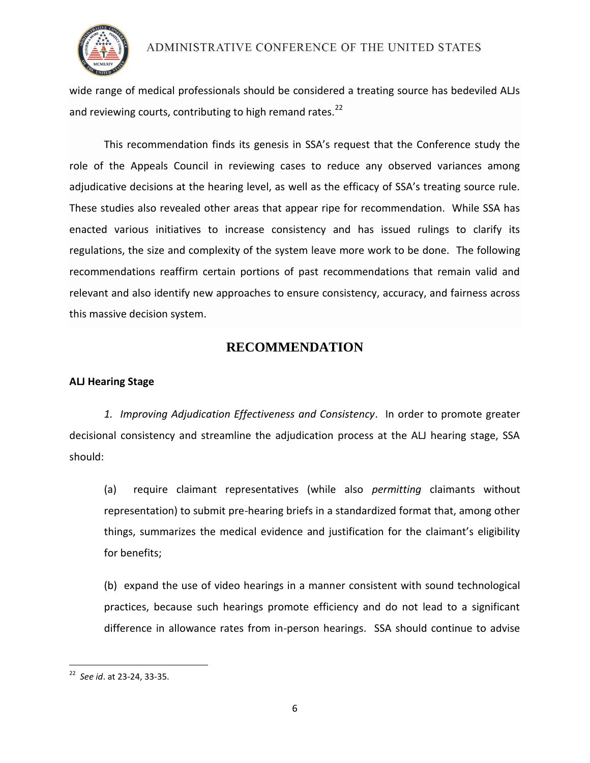

wide range of medical professionals should be considered a treating source has bedeviled ALJs and reviewing courts, contributing to high remand rates.<sup>22</sup>

This recommendation finds its genesis in SSA's request that the Conference study the role of the Appeals Council in reviewing cases to reduce any observed variances among adjudicative decisions at the hearing level, as well as the efficacy of SSA's treating source rule. These studies also revealed other areas that appear ripe for recommendation. While SSA has enacted various initiatives to increase consistency and has issued rulings to clarify its regulations, the size and complexity of the system leave more work to be done. The following recommendations reaffirm certain portions of past recommendations that remain valid and relevant and also identify new approaches to ensure consistency, accuracy, and fairness across this massive decision system.

# **RECOMMENDATION**

#### **ALJ Hearing Stage**

*1. Improving Adjudication Effectiveness and Consistency*. In order to promote greater decisional consistency and streamline the adjudication process at the ALJ hearing stage, SSA should:

(a) require claimant representatives (while also *permitting* claimants without representation) to submit pre-hearing briefs in a standardized format that, among other things, summarizes the medical evidence and justification for the claimant's eligibility for benefits;

(b) expand the use of video hearings in a manner consistent with sound technological practices, because such hearings promote efficiency and do not lead to a significant difference in allowance rates from in-person hearings. SSA should continue to advise

 22 *See id*. at 23-24, 33-35.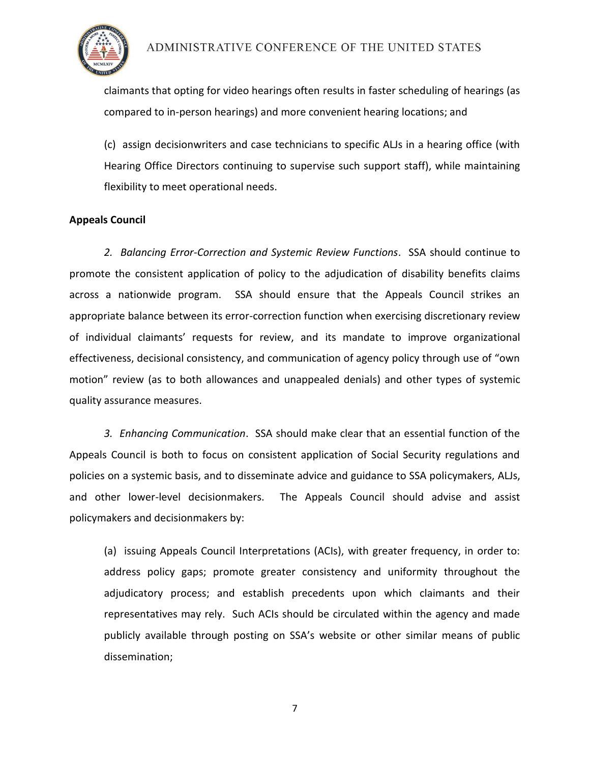

claimants that opting for video hearings often results in faster scheduling of hearings (as compared to in-person hearings) and more convenient hearing locations; and

(c) assign decisionwriters and case technicians to specific ALJs in a hearing office (with Hearing Office Directors continuing to supervise such support staff), while maintaining flexibility to meet operational needs.

## **Appeals Council**

*2. Balancing Error-Correction and Systemic Review Functions*. SSA should continue to promote the consistent application of policy to the adjudication of disability benefits claims across a nationwide program. SSA should ensure that the Appeals Council strikes an appropriate balance between its error-correction function when exercising discretionary review of individual claimants' requests for review, and its mandate to improve organizational effectiveness, decisional consistency, and communication of agency policy through use of "own motion" review (as to both allowances and unappealed denials) and other types of systemic quality assurance measures.

*3. Enhancing Communication*. SSA should make clear that an essential function of the Appeals Council is both to focus on consistent application of Social Security regulations and policies on a systemic basis, and to disseminate advice and guidance to SSA policymakers, ALJs, and other lower-level decisionmakers. The Appeals Council should advise and assist policymakers and decisionmakers by:

(a) issuing Appeals Council Interpretations (ACIs), with greater frequency, in order to: address policy gaps; promote greater consistency and uniformity throughout the adjudicatory process; and establish precedents upon which claimants and their representatives may rely. Such ACIs should be circulated within the agency and made publicly available through posting on SSA's website or other similar means of public dissemination;

7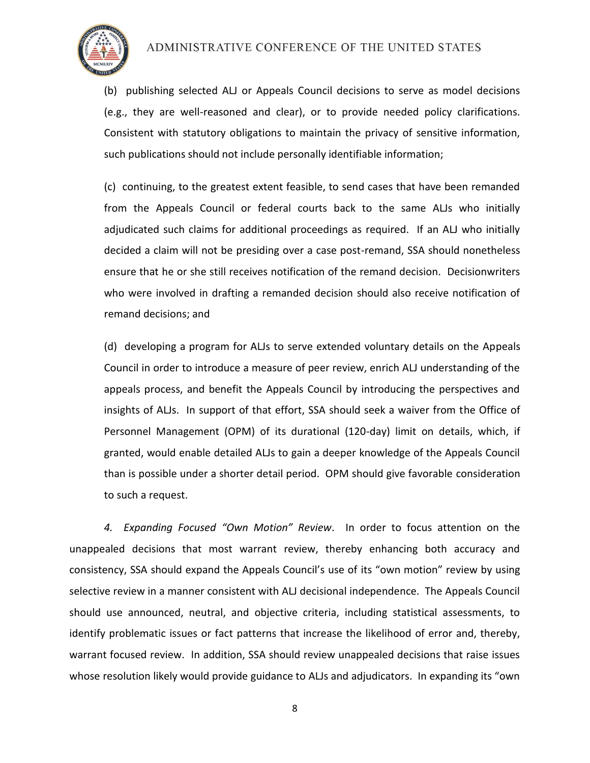

(b) publishing selected ALJ or Appeals Council decisions to serve as model decisions (e.g., they are well-reasoned and clear), or to provide needed policy clarifications. Consistent with statutory obligations to maintain the privacy of sensitive information, such publications should not include personally identifiable information;

(c) continuing, to the greatest extent feasible, to send cases that have been remanded from the Appeals Council or federal courts back to the same ALJs who initially adjudicated such claims for additional proceedings as required. If an ALJ who initially decided a claim will not be presiding over a case post-remand, SSA should nonetheless ensure that he or she still receives notification of the remand decision. Decisionwriters who were involved in drafting a remanded decision should also receive notification of remand decisions; and

(d) developing a program for ALJs to serve extended voluntary details on the Appeals Council in order to introduce a measure of peer review, enrich ALJ understanding of the appeals process, and benefit the Appeals Council by introducing the perspectives and insights of ALJs. In support of that effort, SSA should seek a waiver from the Office of Personnel Management (OPM) of its durational (120-day) limit on details, which, if granted, would enable detailed ALJs to gain a deeper knowledge of the Appeals Council than is possible under a shorter detail period. OPM should give favorable consideration to such a request.

*4. Expanding Focused "Own Motion" Review*. In order to focus attention on the unappealed decisions that most warrant review, thereby enhancing both accuracy and consistency, SSA should expand the Appeals Council's use of its "own motion" review by using selective review in a manner consistent with ALJ decisional independence. The Appeals Council should use announced, neutral, and objective criteria, including statistical assessments, to identify problematic issues or fact patterns that increase the likelihood of error and, thereby, warrant focused review. In addition, SSA should review unappealed decisions that raise issues whose resolution likely would provide guidance to ALJs and adjudicators. In expanding its "own

8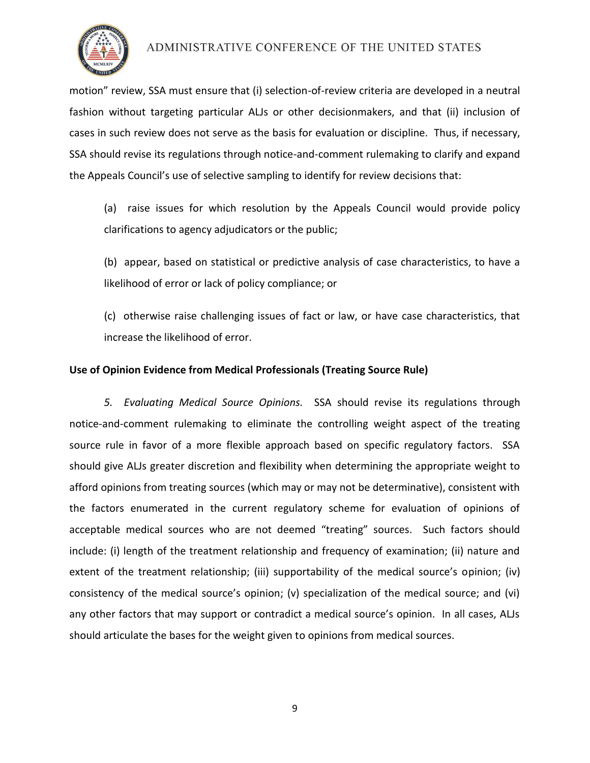

motion" review, SSA must ensure that (i) selection-of-review criteria are developed in a neutral fashion without targeting particular ALJs or other decisionmakers, and that (ii) inclusion of cases in such review does not serve as the basis for evaluation or discipline. Thus, if necessary, SSA should revise its regulations through notice-and-comment rulemaking to clarify and expand the Appeals Council's use of selective sampling to identify for review decisions that:

(a) raise issues for which resolution by the Appeals Council would provide policy clarifications to agency adjudicators or the public;

(b) appear, based on statistical or predictive analysis of case characteristics, to have a likelihood of error or lack of policy compliance; or

(c) otherwise raise challenging issues of fact or law, or have case characteristics, that increase the likelihood of error.

## **Use of Opinion Evidence from Medical Professionals (Treating Source Rule)**

*5. Evaluating Medical Source Opinions.* SSA should revise its regulations through notice-and-comment rulemaking to eliminate the controlling weight aspect of the treating source rule in favor of a more flexible approach based on specific regulatory factors. SSA should give ALJs greater discretion and flexibility when determining the appropriate weight to afford opinions from treating sources (which may or may not be determinative), consistent with the factors enumerated in the current regulatory scheme for evaluation of opinions of acceptable medical sources who are not deemed "treating" sources. Such factors should include: (i) length of the treatment relationship and frequency of examination; (ii) nature and extent of the treatment relationship; (iii) supportability of the medical source's opinion; (iv) consistency of the medical source's opinion; (v) specialization of the medical source; and (vi) any other factors that may support or contradict a medical source's opinion. In all cases, ALJs should articulate the bases for the weight given to opinions from medical sources.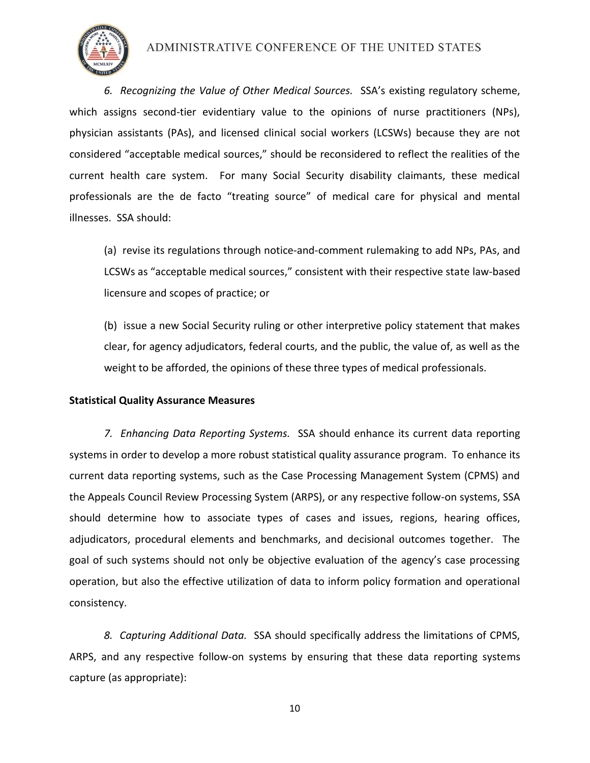

*6. Recognizing the Value of Other Medical Sources.* SSA's existing regulatory scheme, which assigns second-tier evidentiary value to the opinions of nurse practitioners (NPs), physician assistants (PAs), and licensed clinical social workers (LCSWs) because they are not considered "acceptable medical sources," should be reconsidered to reflect the realities of the current health care system. For many Social Security disability claimants, these medical professionals are the de facto "treating source" of medical care for physical and mental illnesses. SSA should:

(a) revise its regulations through notice-and-comment rulemaking to add NPs, PAs, and LCSWs as "acceptable medical sources," consistent with their respective state law-based licensure and scopes of practice; or

(b) issue a new Social Security ruling or other interpretive policy statement that makes clear, for agency adjudicators, federal courts, and the public, the value of, as well as the weight to be afforded, the opinions of these three types of medical professionals.

#### **Statistical Quality Assurance Measures**

*7. Enhancing Data Reporting Systems.* SSA should enhance its current data reporting systems in order to develop a more robust statistical quality assurance program. To enhance its current data reporting systems, such as the Case Processing Management System (CPMS) and the Appeals Council Review Processing System (ARPS), or any respective follow-on systems, SSA should determine how to associate types of cases and issues, regions, hearing offices, adjudicators, procedural elements and benchmarks, and decisional outcomes together. The goal of such systems should not only be objective evaluation of the agency's case processing operation, but also the effective utilization of data to inform policy formation and operational consistency.

*8. Capturing Additional Data.* SSA should specifically address the limitations of CPMS, ARPS, and any respective follow-on systems by ensuring that these data reporting systems capture (as appropriate):